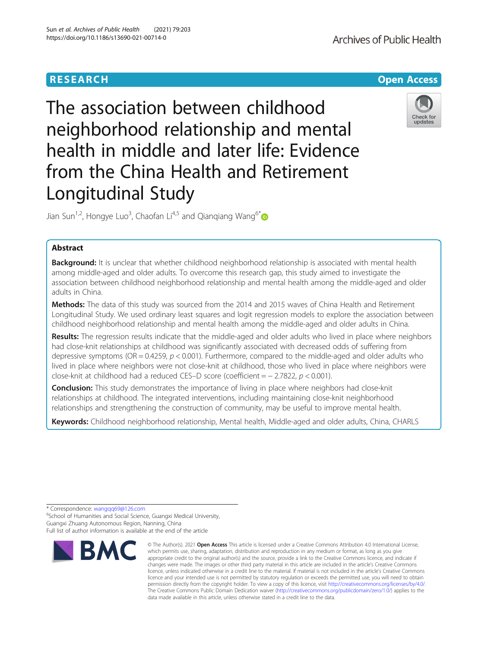# **RESEARCH CHEAR CHEAR CHEAR CHEAR CHEAR CHEAR CHEAR CHEAR CHEAR CHEAR CHEAR CHEAR CHEAR CHEAR CHEAR CHEAR CHEAR**

# The association between childhood neighborhood relationship and mental health in middle and later life: Evidence from the China Health and Retirement Longitudinal Study

Jian Sun<sup>1,2</sup>, Hongye Luo<sup>3</sup>, Chaofan Li<sup>4,5</sup> and Qianqiang Wang<sup>6\*</sup>

## Abstract

Background: It is unclear that whether childhood neighborhood relationship is associated with mental health among middle-aged and older adults. To overcome this research gap, this study aimed to investigate the association between childhood neighborhood relationship and mental health among the middle-aged and older adults in China.

Methods: The data of this study was sourced from the 2014 and 2015 waves of China Health and Retirement Longitudinal Study. We used ordinary least squares and logit regression models to explore the association between childhood neighborhood relationship and mental health among the middle-aged and older adults in China.

Results: The regression results indicate that the middle-aged and older adults who lived in place where neighbors had close-knit relationships at childhood was significantly associated with decreased odds of suffering from depressive symptoms (OR = 0.4259,  $p < 0.001$ ). Furthermore, compared to the middle-aged and older adults who lived in place where neighbors were not close-knit at childhood, those who lived in place where neighbors were close-knit at childhood had a reduced CES–D score (coefficient = − 2.7822, p < 0.001).

**Conclusion:** This study demonstrates the importance of living in place where neighbors had close-knit relationships at childhood. The integrated interventions, including maintaining close-knit neighborhood relationships and strengthening the construction of community, may be useful to improve mental health.

Keywords: Childhood neighborhood relationship, Mental health, Middle-aged and older adults, China, CHARLS

\* Correspondence: [wangqq69@126.com](mailto:wangqq69@126.com) <sup>6</sup>

<sup>6</sup>School of Humanities and Social Science, Guangxi Medical University, Guangxi Zhuang Autonomous Region, Nanning, China

Full list of author information is available at the end of the article



<sup>©</sup> The Author(s), 2021 **Open Access** This article is licensed under a Creative Commons Attribution 4.0 International License, which permits use, sharing, adaptation, distribution and reproduction in any medium or format, as long as you give appropriate credit to the original author(s) and the source, provide a link to the Creative Commons licence, and indicate if changes were made. The images or other third party material in this article are included in the article's Creative Commons licence, unless indicated otherwise in a credit line to the material. If material is not included in the article's Creative Commons licence and your intended use is not permitted by statutory regulation or exceeds the permitted use, you will need to obtain permission directly from the copyright holder. To view a copy of this licence, visit [http://creativecommons.org/licenses/by/4.0/.](http://creativecommons.org/licenses/by/4.0/) The Creative Commons Public Domain Dedication waiver [\(http://creativecommons.org/publicdomain/zero/1.0/](http://creativecommons.org/publicdomain/zero/1.0/)) applies to the data made available in this article, unless otherwise stated in a credit line to the data.

**Archives of Public Health**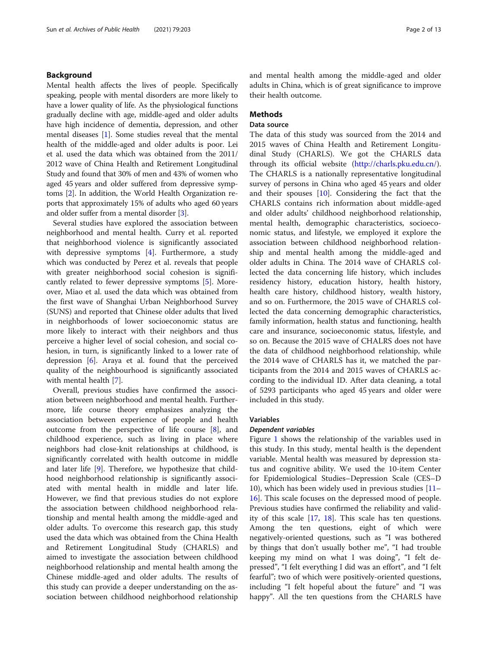## Background

Mental health affects the lives of people. Specifically speaking, people with mental disorders are more likely to have a lower quality of life. As the physiological functions gradually decline with age, middle-aged and older adults have high incidence of dementia, depression, and other mental diseases [\[1\]](#page-11-0). Some studies reveal that the mental health of the middle-aged and older adults is poor. Lei et al. used the data which was obtained from the 2011/ 2012 wave of China Health and Retirement Longitudinal Study and found that 30% of men and 43% of women who aged 45 years and older suffered from depressive symptoms [\[2\]](#page-11-0). In addition, the World Health Organization reports that approximately 15% of adults who aged 60 years and older suffer from a mental disorder [\[3](#page-11-0)].

Several studies have explored the association between neighborhood and mental health. Curry et al. reported that neighborhood violence is significantly associated with depressive symptoms [[4\]](#page-11-0). Furthermore, a study which was conducted by Perez et al. reveals that people with greater neighborhood social cohesion is significantly related to fewer depressive symptoms [\[5](#page-11-0)]. Moreover, Miao et al. used the data which was obtained from the first wave of Shanghai Urban Neighborhood Survey (SUNS) and reported that Chinese older adults that lived in neighborhoods of lower socioeconomic status are more likely to interact with their neighbors and thus perceive a higher level of social cohesion, and social cohesion, in turn, is significantly linked to a lower rate of depression  $[6]$ . Araya et al. found that the perceived quality of the neighbourhood is significantly associated with mental health [[7\]](#page-12-0).

Overall, previous studies have confirmed the association between neighborhood and mental health. Furthermore, life course theory emphasizes analyzing the association between experience of people and health outcome from the perspective of life course [[8\]](#page-12-0), and childhood experience, such as living in place where neighbors had close-knit relationships at childhood, is significantly correlated with health outcome in middle and later life [\[9\]](#page-12-0). Therefore, we hypothesize that childhood neighborhood relationship is significantly associated with mental health in middle and later life. However, we find that previous studies do not explore the association between childhood neighborhood relationship and mental health among the middle-aged and older adults. To overcome this research gap, this study used the data which was obtained from the China Health and Retirement Longitudinal Study (CHARLS) and aimed to investigate the association between childhood neighborhood relationship and mental health among the Chinese middle-aged and older adults. The results of this study can provide a deeper understanding on the association between childhood neighborhood relationship and mental health among the middle-aged and older adults in China, which is of great significance to improve their health outcome.

## **Methods**

## Data source

The data of this study was sourced from the 2014 and 2015 waves of China Health and Retirement Longitudinal Study (CHARLS). We got the CHARLS data through its official website (<http://charls.pku.edu.cn/>). The CHARLS is a nationally representative longitudinal survey of persons in China who aged 45 years and older and their spouses  $[10]$  $[10]$ . Considering the fact that the CHARLS contains rich information about middle-aged and older adults' childhood neighborhood relationship, mental health, demographic characteristics, socioeconomic status, and lifestyle, we employed it explore the association between childhood neighborhood relationship and mental health among the middle-aged and older adults in China. The 2014 wave of CHARLS collected the data concerning life history, which includes residency history, education history, health history, health care history, childhood history, wealth history, and so on. Furthermore, the 2015 wave of CHARLS collected the data concerning demographic characteristics, family information, health status and functioning, health care and insurance, socioeconomic status, lifestyle, and so on. Because the 2015 wave of CHALRS does not have the data of childhood neighborhood relationship, while the 2014 wave of CHARLS has it, we matched the participants from the 2014 and 2015 waves of CHARLS according to the individual ID. After data cleaning, a total of 5293 participants who aged 45 years and older were included in this study.

## Variables

#### Dependent variables

Figure [1](#page-2-0) shows the relationship of the variables used in this study. In this study, mental health is the dependent variable. Mental health was measured by depression status and cognitive ability. We used the 10-item Center for Epidemiological Studies–Depression Scale (CES–D 10), which has been widely used in previous studies [[11](#page-12-0)– [16\]](#page-12-0). This scale focuses on the depressed mood of people. Previous studies have confirmed the reliability and validity of this scale [[17,](#page-12-0) [18](#page-12-0)]. This scale has ten questions. Among the ten questions, eight of which were negatively-oriented questions, such as "I was bothered by things that don't usually bother me", "I had trouble keeping my mind on what I was doing", "I felt depressed", "I felt everything I did was an effort", and "I felt fearful"; two of which were positively-oriented questions, including "I felt hopeful about the future" and "I was happy". All the ten questions from the CHARLS have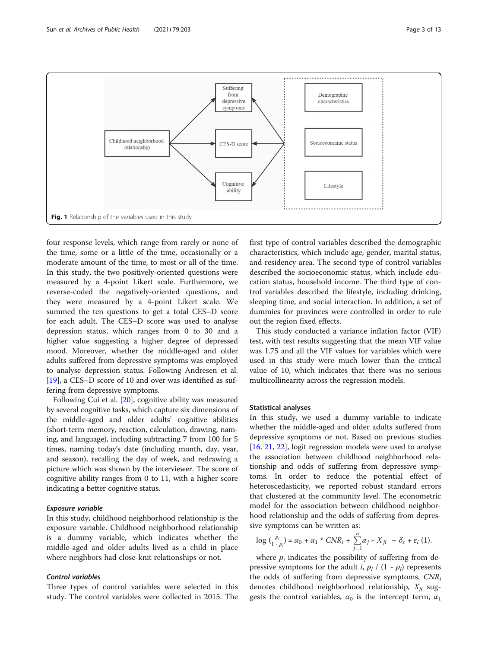<span id="page-2-0"></span>

four response levels, which range from rarely or none of the time, some or a little of the time, occasionally or a moderate amount of the time, to most or all of the time. In this study, the two positively-oriented questions were measured by a 4-point Likert scale. Furthermore, we reverse-coded the negatively-oriented questions, and they were measured by a 4-point Likert scale. We summed the ten questions to get a total CES–D score for each adult. The CES–D score was used to analyse depression status, which ranges from 0 to 30 and a higher value suggesting a higher degree of depressed mood. Moreover, whether the middle-aged and older adults suffered from depressive symptoms was employed to analyse depression status. Following Andresen et al. [[19\]](#page-12-0), a CES–D score of 10 and over was identified as suffering from depressive symptoms.

Following Cui et al. [[20](#page-12-0)], cognitive ability was measured by several cognitive tasks, which capture six dimensions of the middle-aged and older adults' cognitive abilities (short-term memory, reaction, calculation, drawing, naming, and language), including subtracting 7 from 100 for 5 times, naming today's date (including month, day, year, and season), recalling the day of week, and redrawing a picture which was shown by the interviewer. The score of cognitive ability ranges from 0 to 11, with a higher score indicating a better cognitive status.

## Exposure variable

In this study, childhood neighborhood relationship is the exposure variable. Childhood neighborhood relationship is a dummy variable, which indicates whether the middle-aged and older adults lived as a child in place where neighbors had close-knit relationships or not.

## Control variables

Three types of control variables were selected in this study. The control variables were collected in 2015. The first type of control variables described the demographic characteristics, which include age, gender, marital status, and residency area. The second type of control variables described the socioeconomic status, which include education status, household income. The third type of control variables described the lifestyle, including drinking, sleeping time, and social interaction. In addition, a set of dummies for provinces were controlled in order to rule out the region fixed effects.

This study conducted a variance inflation factor (VIF) test, with test results suggesting that the mean VIF value was 1.75 and all the VIF values for variables which were used in this study were much lower than the critical value of 10, which indicates that there was no serious multicollinearity across the regression models.

#### Statistical analyses

In this study, we used a dummy variable to indicate whether the middle-aged and older adults suffered from depressive symptoms or not. Based on previous studies [[16,](#page-12-0) [21,](#page-12-0) [22\]](#page-12-0), logit regression models were used to analyse the association between childhood neighborhood relationship and odds of suffering from depressive symptoms. In order to reduce the potential effect of heteroscedasticity, we reported robust standard errors that clustered at the community level. The econometric model for the association between childhood neighborhood relationship and the odds of suffering from depressive symptoms can be written as:

$$
\log\left(\frac{p_i}{1-p_i}\right) = \alpha_0 + \alpha_1 \sqrt[k]{CNR_i} + \sum_{j=1}^n a_j \sqrt[k]{x_{ji}} + \delta_s + \varepsilon_i \tag{1}.
$$

where  $p_i$  indicates the possibility of suffering from de-<br>ressive symptoms for the adult *i*,  $p_i$  (1,  $\overline{p_i}$ ) represents pressive symptoms for the adult *i*,  $p_i / (1 - p_i)$  represents the odds of suffering from depressive symptoms,  $CNR_i$ denotes childhood neighborhood relationship,  $X_{ii}$  suggests the control variables,  $\alpha_0$  is the intercept term,  $\alpha_1$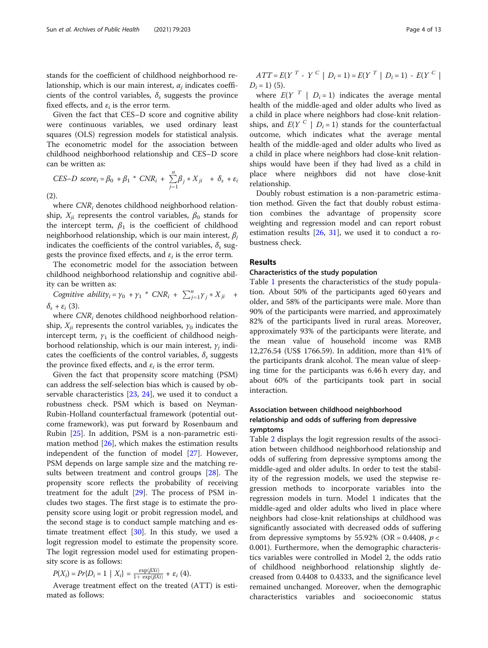stands for the coefficient of childhood neighborhood relationship, which is our main interest,  $\alpha_i$  indicates coefficients of the control variables,  $\delta_s$  suggests the province fixed effects, and  $\varepsilon_i$  is the error term.

Given the fact that CES–D score and cognitive ability were continuous variables, we used ordinary least squares (OLS) regression models for statistical analysis. The econometric model for the association between childhood neighborhood relationship and CES–D score can be written as:

$$
CES-D score_i = \beta_0 + \beta_1 * CNR_i + \sum_{j=1}^{n} \beta_j * X_{ji} + \delta_s + \varepsilon_i
$$
\n(2).

where  $CNR_i$  denotes childhood neighborhood relationship,  $X_{ii}$  represents the control variables,  $\beta_0$  stands for the intercept term,  $\beta_1$  is the coefficient of childhood neighborhood relationship, which is our main interest,  $\beta_i$ indicates the coefficients of the control variables,  $\delta_s$  suggests the province fixed effects, and  $\varepsilon_i$  is the error term.

The econometric model for the association between childhood neighborhood relationship and cognitive ability can be written as:

Cognitive ability<sub>i</sub> =  $\gamma_0$  +  $\gamma_1$  \* CNR<sub>i</sub> +  $\sum_{j=1}^n \gamma_j$  \*  $X_{ji}$  +  $\delta_{\rm s}$  +  $\varepsilon_i$  (3).

where  $CNR_i$  denotes childhood neighborhood relationship,  $X_{ii}$  represents the control variables,  $\gamma_0$  indicates the intercept term,  $\gamma_1$  is the coefficient of childhood neighborhood relationship, which is our main interest,  $\gamma_i$  indicates the coefficients of the control variables,  $\delta_s$  suggests the province fixed effects, and  $\varepsilon_i$  is the error term.

Given the fact that propensity score matching (PSM) can address the self-selection bias which is caused by observable characteristics [[23,](#page-12-0) [24](#page-12-0)], we used it to conduct a robustness check. PSM which is based on Neyman-Rubin-Holland counterfactual framework (potential outcome framework), was put forward by Rosenbaum and Rubin [[25\]](#page-12-0). In addition, PSM is a non-parametric estimation method [[26](#page-12-0)], which makes the estimation results independent of the function of model [\[27](#page-12-0)]. However, PSM depends on large sample size and the matching results between treatment and control groups [\[28](#page-12-0)]. The propensity score reflects the probability of receiving treatment for the adult [[29\]](#page-12-0). The process of PSM includes two stages. The first stage is to estimate the propensity score using logit or probit regression model, and the second stage is to conduct sample matching and estimate treatment effect [\[30\]](#page-12-0). In this study, we used a logit regression model to estimate the propensity score. The logit regression model used for estimating propensity score is as follows:

$$
P(X_i) = Pr\{D_i = 1 \mid X_i\} = \frac{\exp(\beta X_i)}{1 + \exp(\beta X_i)} + \varepsilon_i
$$
 (4).

 $P(X_i) = Pr\{D_i = 1 \mid X_i\} = \frac{\exp(\beta X_i)}{1 + \exp(\beta X_i)} + \varepsilon_i$  (4).<br>Average treatment effect on the treated (ATT) is estimated as follows:

 $ATT = E(Y^T - Y^C | D_i = 1) = E(Y^T | D_i = 1) - E(Y^C |$  $D_i = 1$ ) (5).

where  $E(Y^T | D_i = 1)$  indicates the average mental health of the middle-aged and older adults who lived as a child in place where neighbors had close-knit relationships, and  $E(Y^C | D_i = 1)$  stands for the counterfactual outcome, which indicates what the average mental health of the middle-aged and older adults who lived as a child in place where neighbors had close-knit relationships would have been if they had lived as a child in place where neighbors did not have close-knit relationship.

Doubly robust estimation is a non-parametric estimation method. Given the fact that doubly robust estimation combines the advantage of propensity score weighting and regression model and can report robust estimation results  $[26, 31]$  $[26, 31]$  $[26, 31]$  $[26, 31]$ , we used it to conduct a robustness check.

## Results

#### Characteristics of the study population

Table [1](#page-4-0) presents the characteristics of the study population. About 50% of the participants aged 60 years and older, and 58% of the participants were male. More than 90% of the participants were married, and approximately 82% of the participants lived in rural areas. Moreover, approximately 93% of the participants were literate, and the mean value of household income was RMB 12,276.54 (US\$ 1766.59). In addition, more than 41% of the participants drank alcohol. The mean value of sleeping time for the participants was 6.46 h every day, and about 60% of the participants took part in social interaction.

## Association between childhood neighborhood relationship and odds of suffering from depressive symptoms

Table [2](#page-5-0) displays the logit regression results of the association between childhood neighborhood relationship and odds of suffering from depressive symptoms among the middle-aged and older adults. In order to test the stability of the regression models, we used the stepwise regression methods to incorporate variables into the regression models in turn. Model 1 indicates that the middle-aged and older adults who lived in place where neighbors had close-knit relationships at childhood was significantly associated with decreased odds of suffering from depressive symptoms by 55.92% (OR = 0.4408,  $p <$ 0.001). Furthermore, when the demographic characteristics variables were controlled in Model 2, the odds ratio of childhood neighborhood relationship slightly decreased from 0.4408 to 0.4333, and the significance level remained unchanged. Moreover, when the demographic characteristics variables and socioeconomic status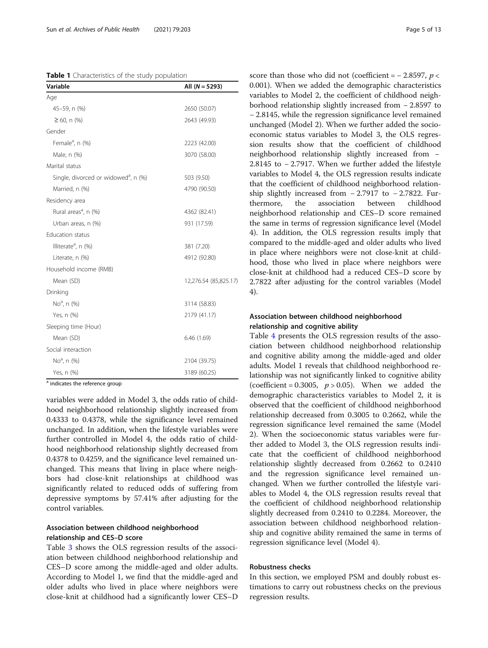<span id="page-4-0"></span>Table 1 Characteristics of the study population

| Variable                                         | All $(N = 5293)$      |
|--------------------------------------------------|-----------------------|
| Age                                              |                       |
| 45-59, n (%)                                     | 2650 (50.07)          |
| $\geq 60$ , n (%)                                | 2643 (49.93)          |
| Gender                                           |                       |
| Female <sup>a</sup> , n (%)                      | 2223 (42.00)          |
| Male, n (%)                                      | 3070 (58.00)          |
| Marital status                                   |                       |
| Single, divorced or widowed <sup>a</sup> , n (%) | 503 (9.50)            |
| Married, n (%)                                   | 4790 (90.50)          |
| Residency area                                   |                       |
| Rural areas <sup>a</sup> , n (%)                 | 4362 (82.41)          |
| Urban areas, n (%)                               | 931 (17.59)           |
| <b>Education status</b>                          |                       |
| Illiterate <sup>a</sup> , n (%)                  | 381 (7.20)            |
| Literate, n (%)                                  | 4912 (92.80)          |
| Household income (RMB)                           |                       |
| Mean (SD)                                        | 12,276.54 (85,825.17) |
| Drinking                                         |                       |
| No <sup>a</sup> , n (%)                          | 3114 (58.83)          |
| Yes, n (%)                                       | 2179 (41.17)          |
| Sleeping time (Hour)                             |                       |
| Mean (SD)                                        | 6.46(1.69)            |
| Social interaction                               |                       |
| No <sup>a</sup> , n (%)                          | 2104 (39.75)          |
| Yes, n (%)                                       | 3189 (60.25)          |

<sup>a</sup> indicates the reference group

variables were added in Model 3, the odds ratio of childhood neighborhood relationship slightly increased from 0.4333 to 0.4378, while the significance level remained unchanged. In addition, when the lifestyle variables were further controlled in Model 4, the odds ratio of childhood neighborhood relationship slightly decreased from 0.4378 to 0.4259, and the significance level remained unchanged. This means that living in place where neighbors had close-knit relationships at childhood was significantly related to reduced odds of suffering from depressive symptoms by 57.41% after adjusting for the control variables.

## Association between childhood neighborhood relationship and CES–D score

Table [3](#page-6-0) shows the OLS regression results of the association between childhood neighborhood relationship and CES–D score among the middle-aged and older adults. According to Model 1, we find that the middle-aged and older adults who lived in place where neighbors were close-knit at childhood had a significantly lower CES–D score than those who did not (coefficient =  $-2.8597, p <$ 0.001). When we added the demographic characteristics variables to Model 2, the coefficient of childhood neighborhood relationship slightly increased from − 2.8597 to − 2.8145, while the regression significance level remained unchanged (Model 2). When we further added the socioeconomic status variables to Model 3, the OLS regression results show that the coefficient of childhood neighborhood relationship slightly increased from − 2.8145 to − 2.7917. When we further added the lifestyle variables to Model 4, the OLS regression results indicate that the coefficient of childhood neighborhood relationship slightly increased from  $-2.7917$  to  $-2.7822$ . Furthermore, the association between childhood neighborhood relationship and CES–D score remained the same in terms of regression significance level (Model 4). In addition, the OLS regression results imply that compared to the middle-aged and older adults who lived in place where neighbors were not close-knit at childhood, those who lived in place where neighbors were close-knit at childhood had a reduced CES–D score by 2.7822 after adjusting for the control variables (Model 4).

## Association between childhood neighborhood relationship and cognitive ability

Table [4](#page-7-0) presents the OLS regression results of the association between childhood neighborhood relationship and cognitive ability among the middle-aged and older adults. Model 1 reveals that childhood neighborhood relationship was not significantly linked to cognitive ability (coefficient =  $0.3005$ ,  $p > 0.05$ ). When we added the demographic characteristics variables to Model 2, it is observed that the coefficient of childhood neighborhood relationship decreased from 0.3005 to 0.2662, while the regression significance level remained the same (Model 2). When the socioeconomic status variables were further added to Model 3, the OLS regression results indicate that the coefficient of childhood neighborhood relationship slightly decreased from 0.2662 to 0.2410 and the regression significance level remained unchanged. When we further controlled the lifestyle variables to Model 4, the OLS regression results reveal that the coefficient of childhood neighborhood relationship slightly decreased from 0.2410 to 0.2284. Moreover, the association between childhood neighborhood relationship and cognitive ability remained the same in terms of regression significance level (Model 4).

## Robustness checks

In this section, we employed PSM and doubly robust estimations to carry out robustness checks on the previous regression results.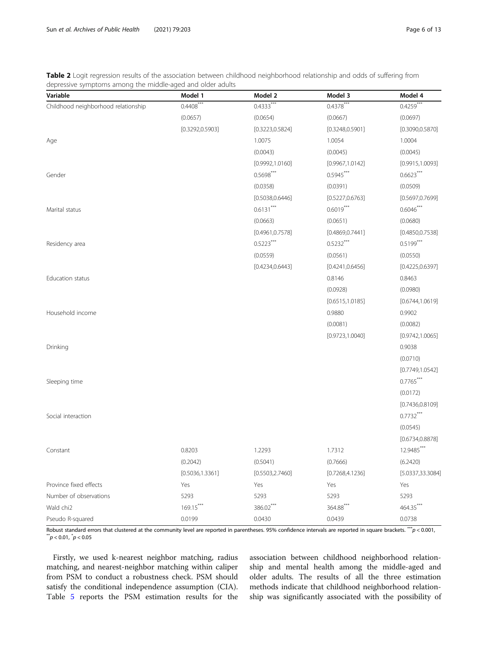<span id="page-5-0"></span>Table 2 Logit regression results of the association between childhood neighborhood relationship and odds of suffering from depressive symptoms among the middle-aged and older adults

| Variable                            | Model 1          | Model 2          | Model 3                   | Model 4           |
|-------------------------------------|------------------|------------------|---------------------------|-------------------|
| Childhood neighborhood relationship | $0.4408***$      | $0.4333***$      | $0.43\overline{78}^{***}$ | $0.4259***$       |
|                                     | (0.0657)         | (0.0654)         | (0.0667)                  | (0.0697)          |
|                                     | [0.3292, 0.5903] | [0.3223, 0.5824] | [0.3248, 0.5901]          | [0.3090, 0.5870]  |
| Age                                 |                  | 1.0075           | 1.0054                    | 1.0004            |
|                                     |                  | (0.0043)         | (0.0045)                  | (0.0045)          |
|                                     |                  | [0.9992, 1.0160] | [0.9967, 1.0142]          | [0.9915, 1.0093]  |
| Gender                              |                  | $0.5698***$      | $0.5945***$               | $0.6623***$       |
|                                     |                  | (0.0358)         | (0.0391)                  | (0.0509)          |
|                                     |                  | [0.5038, 0.6446] | [0.5227, 0.6763]          | [0.5697, 0.7699]  |
| Marital status                      |                  | $0.6131***$      | $0.6019***$               | $0.6046***$       |
|                                     |                  | (0.0663)         | (0.0651)                  | (0.0680)          |
|                                     |                  | [0.4961, 0.7578] | [0.4869, 0.7441]          | [0.4850, 0.7538]  |
| Residency area                      |                  | $0.5223***$      | $0.5232***$               | $0.5199***$       |
|                                     |                  | (0.0559)         | (0.0561)                  | (0.0550)          |
|                                     |                  | [0.4234, 0.6443] | [0.4241, 0.6456]          | [0.4225, 0.6397]  |
| <b>Education status</b>             |                  |                  | 0.8146                    | 0.8463            |
|                                     |                  |                  | (0.0928)                  | (0.0980)          |
|                                     |                  |                  | [0.6515, 1.0185]          | [0.6744, 1.0619]  |
| Household income                    |                  |                  | 0.9880                    | 0.9902            |
|                                     |                  |                  | (0.0081)                  | (0.0082)          |
|                                     |                  |                  | [0.9723, 1.0040]          | [0.9742, 1.0065]  |
| Drinking                            |                  |                  |                           | 0.9038            |
|                                     |                  |                  |                           | (0.0710)          |
|                                     |                  |                  |                           | [0.7749, 1.0542]  |
| Sleeping time                       |                  |                  |                           | $0.7765***$       |
|                                     |                  |                  |                           | (0.0172)          |
|                                     |                  |                  |                           | [0.7436, 0.8109]  |
| Social interaction                  |                  |                  |                           | $0.7732***$       |
|                                     |                  |                  |                           | (0.0545)          |
|                                     |                  |                  |                           | [0.6734, 0.8878]  |
| Constant                            | 0.8203           | 1.2293           | 1.7312                    | 12.9485***        |
|                                     | (0.2042)         | (0.5041)         | (0.7666)                  | (6.2420)          |
|                                     | [0.5036, 1.3361] | [0.5503, 2.7460] | [0.7268, 4.1236]          | [5.0337, 33.3084] |
| Province fixed effects              | Yes              | Yes              | Yes                       | Yes               |
| Number of observations              | 5293             | 5293             | 5293                      | 5293              |
| Wald chi2                           | $169.15***$      | 386.02***        | 364.88***                 | 464.35***         |
| Pseudo R-squared                    | 0.0199           | 0.0430           | 0.0439                    | 0.0738            |

Robust standard errors that clustered at the community level are reported in parentheses. 95% confidence intervals are reported in square brackets.  $**p < 0.001$ ,  $\stackrel{*}{p}$  < 0.01,  $\stackrel{*}{p}$  < 0.05

Firstly, we used k-nearest neighbor matching, radius matching, and nearest-neighbor matching within caliper from PSM to conduct a robustness check. PSM should satisfy the conditional independence assumption (CIA). Table [5](#page-8-0) reports the PSM estimation results for the association between childhood neighborhood relationship and mental health among the middle-aged and older adults. The results of all the three estimation methods indicate that childhood neighborhood relationship was significantly associated with the possibility of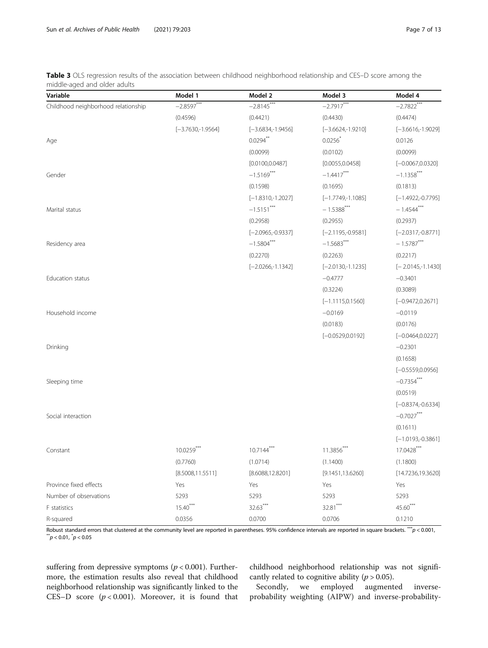<span id="page-6-0"></span>Table 3 OLS regression results of the association between childhood neighborhood relationship and CES–D score among the middle-aged and older adults

| Variable                            | Model 1             | Model 2             | Model 3             | Model 4             |
|-------------------------------------|---------------------|---------------------|---------------------|---------------------|
| Childhood neighborhood relationship | $-2.8597***$        | $-2.8145***$        | $-2.7917***$        | $-2.7822$ ***       |
|                                     | (0.4596)            | (0.4421)            | (0.4430)            | (0.4474)            |
|                                     | $[-3.7630,-1.9564]$ | $[-3.6834,-1.9456]$ | $[-3.6624,-1.9210]$ | $[-3.6616,-1.9029]$ |
| Age                                 |                     | $0.0294**$          | $0.0256*$           | 0.0126              |
|                                     |                     | (0.0099)            | (0.0102)            | (0.0099)            |
|                                     |                     | [0.0100, 0.0487]    | [0.0055, 0.0458]    | $[-0.0067, 0.0320]$ |
| Gender                              |                     | $-1.5169***$        | $-1.4417***$        | $-1.1358***$        |
|                                     |                     | (0.1598)            | (0.1695)            | (0.1813)            |
|                                     |                     | $[-1.8310,-1.2027]$ | $[-1.7749,-1.1085]$ | $[-1.4922,-0.7795]$ |
| Marital status                      |                     | $-1.5151***$        | $-1.5388$ ***       | $-1.4544***$        |
|                                     |                     | (0.2958)            | (0.2955)            | (0.2937)            |
|                                     |                     | $[-2.0965,-0.9337]$ | $[-2.1195,-0.9581]$ | $[-2.0317,-0.8771]$ |
| Residency area                      |                     | $-1.5804***$        | $-1.5683***$        | $-1.5787***$        |
|                                     |                     | (0.2270)            | (0.2263)            | (0.2217)            |
|                                     |                     | $[-2.0266,-1.1342]$ | $[-2.0130,-1.1235]$ | $[-2.0145,-1.1430]$ |
| Education status                    |                     |                     | $-0.4777$           | $-0.3401$           |
|                                     |                     |                     | (0.3224)            | (0.3089)            |
|                                     |                     |                     | $[-1.1115, 0.1560]$ | $[-0.9472, 0.2671]$ |
| Household income                    |                     |                     | $-0.0169$           | $-0.0119$           |
|                                     |                     |                     | (0.0183)            | (0.0176)            |
|                                     |                     |                     | $[-0.0529, 0.0192]$ | $[-0.0464, 0.0227]$ |
| Drinking                            |                     |                     |                     | $-0.2301$           |
|                                     |                     |                     |                     | (0.1658)            |
|                                     |                     |                     |                     | $[-0.5559, 0.0956]$ |
| Sleeping time                       |                     |                     |                     | $-0.7354***$        |
|                                     |                     |                     |                     | (0.0519)            |
|                                     |                     |                     |                     | $[-0.8374,-0.6334]$ |
| Social interaction                  |                     |                     |                     | $-0.7027***$        |
|                                     |                     |                     |                     | (0.1611)            |
|                                     |                     |                     |                     | $[-1.0193,-0.3861]$ |
| Constant                            | $10.0259***$        | $10.7144***$        | 11.3856***          | $17.0428***$        |
|                                     | (0.7760)            | (1.0714)            | (1.1400)            | (1.1800)            |
|                                     | [8.5008, 11.5511]   | [8.6088, 12.8201]   | [9.1451, 13.6260]   | [14.7236,19.3620]   |
| Province fixed effects              | Yes                 | Yes                 | Yes                 | Yes                 |
| Number of observations              | 5293                | 5293                | 5293                | 5293                |
| F statistics                        | $15.40***$          | $32.63***$          | 32.81***            | 45.60***            |
| R-squared                           | 0.0356              | 0.0700              | 0.0706              | 0.1210              |

Robust standard errors that clustered at the community level are reported in parentheses. 95% confidence intervals are reported in square brackets. \*\*p < 0.001,  $\sqrt[3]{p}$  < 0.01,  $\sqrt[3]{p}$  < 0.05

suffering from depressive symptoms ( $p < 0.001$ ). Furthermore, the estimation results also reveal that childhood neighborhood relationship was significantly linked to the CES–D score  $(p < 0.001)$ . Moreover, it is found that childhood neighborhood relationship was not significantly related to cognitive ability ( $p > 0.05$ ).<br>Secondly, we employed augment

we employed augmented inverseprobability weighting (AIPW) and inverse-probability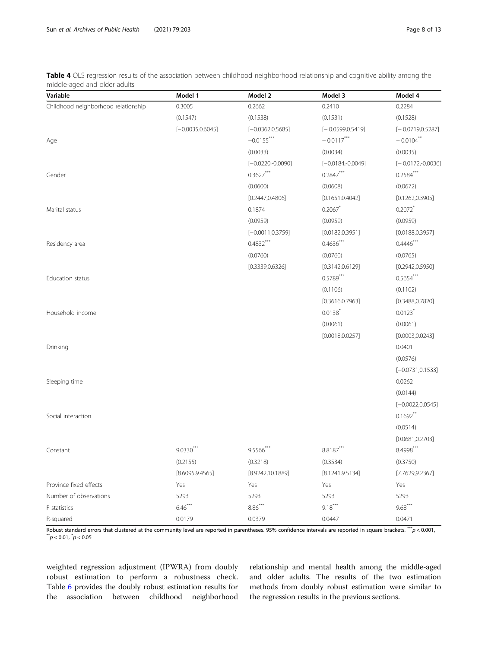<span id="page-7-0"></span>Table 4 OLS regression results of the association between childhood neighborhood relationship and cognitive ability among the middle-aged and older adults

| Variable                            | Model 1             | Model 2             | Model 3             | Model 4               |
|-------------------------------------|---------------------|---------------------|---------------------|-----------------------|
| Childhood neighborhood relationship | 0.3005              | 0.2662              | 0.2410              | 0.2284                |
|                                     | (0.1547)            | (0.1538)            | (0.1531)            | (0.1528)              |
|                                     | $[-0.0035, 0.6045]$ | $[-0.0362, 0.5685]$ | $[-0.0599, 0.5419]$ | $[-0.0719, 0.5287]$   |
| Age                                 |                     | $-0.0155***$        | $-0.0117***$        | $-0.0104***$          |
|                                     |                     | (0.0033)            | (0.0034)            | (0.0035)              |
|                                     |                     | $[-0.0220,-0.0090]$ | $[-0.0184,-0.0049]$ | $[-0.0172,-0.0036]$   |
| Gender                              |                     | $0.3627***$         | $0.2847***$         | $0.2584***$           |
|                                     |                     | (0.0600)            | (0.0608)            | (0.0672)              |
|                                     |                     | [0.2447, 0.4806]    | [0.1651, 0.4042]    | [0.1262, 0.3905]      |
| Marital status                      |                     | 0.1874              | 0.2067              | $0.2072$ *            |
|                                     |                     | (0.0959)            | (0.0959)            | (0.0959)              |
|                                     |                     | $[-0.0011, 0.3759]$ | [0.0182, 0.3951]    | [0.0188, 0.3957]      |
| Residency area                      |                     | $0.4832***$         | $0.4636***$         | $0.4446***$           |
|                                     |                     | (0.0760)            | (0.0760)            | (0.0765)              |
|                                     |                     | [0.3339, 0.6326]    | [0.3142, 0.6129]    | [0.2942, 0.5950]      |
| Education status                    |                     |                     | $0.5789***$         | $0.5654***$           |
|                                     |                     |                     | (0.1106)            | (0.1102)              |
|                                     |                     |                     | [0.3616, 0.7963]    | [0.3488, 0.7820]      |
| Household income                    |                     |                     | $0.0138$ *          | $0.0123$ <sup>*</sup> |
|                                     |                     |                     | (0.0061)            | (0.0061)              |
|                                     |                     |                     | [0.0018, 0.0257]    | [0.0003, 0.0243]      |
| Drinking                            |                     |                     |                     | 0.0401                |
|                                     |                     |                     |                     | (0.0576)              |
|                                     |                     |                     |                     | $[-0.0731, 0.1533]$   |
| Sleeping time                       |                     |                     |                     | 0.0262                |
|                                     |                     |                     |                     | (0.0144)              |
|                                     |                     |                     |                     | $[-0.0022, 0.0545]$   |
| Social interaction                  |                     |                     |                     | $0.1692$ **           |
|                                     |                     |                     |                     | (0.0514)              |
|                                     |                     |                     |                     | [0.0681, 0.2703]      |
| Constant                            | $9.0330***$         | 9.5566***           | $8.8187***$         | $8.4998***$           |
|                                     | (0.2155)            | (0.3218)            | (0.3534)            | (0.3750)              |
|                                     | [8.6095, 9.4565]    | [8.9242, 10.1889]   | [8.1241, 9.5134]    | [7.7629, 9.2367]      |
| Province fixed effects              | Yes                 | Yes                 | Yes                 | Yes                   |
| Number of observations              | 5293                | 5293                | 5293                | 5293                  |
| F statistics                        | $6.46***$           | $8.86***$           | $9.18***$           | $9.68***$             |
| R-squared                           | 0.0179              | 0.0379              | 0.0447              | 0.0471                |

Robust standard errors that clustered at the community level are reported in parentheses. 95% confidence intervals are reported in square brackets. \*\*\*p < 0.001,  $\sum_{i=1}^{n} p < 0.01, \sum_{i=1}^{n} p < 0.05$ 

weighted regression adjustment (IPWRA) from doubly robust estimation to perform a robustness check. Table [6](#page-8-0) provides the doubly robust estimation results for the association between childhood neighborhood relationship and mental health among the middle-aged and older adults. The results of the two estimation methods from doubly robust estimation were similar to the regression results in the previous sections.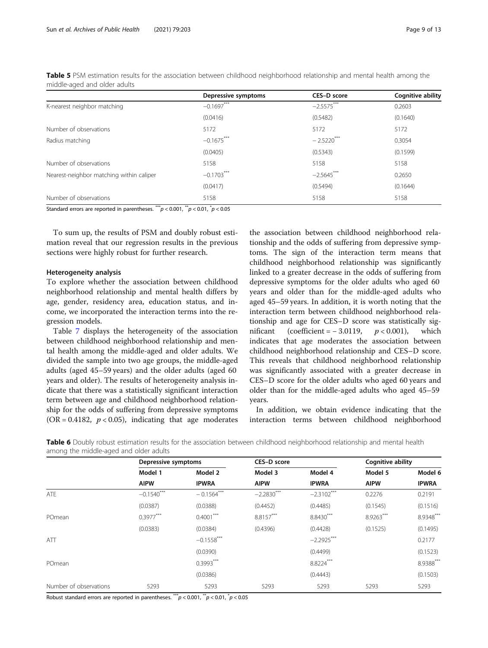|                                          | Depressive symptoms | CES-D score             | <b>Cognitive ability</b> |
|------------------------------------------|---------------------|-------------------------|--------------------------|
| K-nearest neighbor matching              | $-0.1697***$        | $-2.5575***$            | 0.2603                   |
|                                          | (0.0416)            | (0.5482)                | (0.1640)                 |
| Number of observations                   | 5172                | 5172                    | 5172                     |
| Radius matching                          | $-0.1675***$        | $-2.5220$ <sup>**</sup> | 0.3054                   |
|                                          | (0.0405)            | (0.5343)                | (0.1599)                 |
| Number of observations                   | 5158                | 5158                    | 5158                     |
| Nearest-neighbor matching within caliper | $-0.1703***$        | $-2.5645***$            | 0.2650                   |
|                                          | (0.0417)            | (0.5494)                | (0.1644)                 |
| Number of observations                   | 5158                | 5158                    | 5158                     |

<span id="page-8-0"></span>Table 5 PSM estimation results for the association between childhood neighborhood relationship and mental health among the middle-aged and older adults

Standard errors are reported in parentheses.  $^{***}p<$  0.001,  $^{**}p<$  0.01,  $^{*}p<$  0.05

To sum up, the results of PSM and doubly robust estimation reveal that our regression results in the previous sections were highly robust for further research.

## Heterogeneity analysis

To explore whether the association between childhood neighborhood relationship and mental health differs by age, gender, residency area, education status, and income, we incorporated the interaction terms into the regression models.

Table [7](#page-9-0) displays the heterogeneity of the association between childhood neighborhood relationship and mental health among the middle-aged and older adults. We divided the sample into two age groups, the middle-aged adults (aged 45–59 years) and the older adults (aged 60 years and older). The results of heterogeneity analysis indicate that there was a statistically significant interaction term between age and childhood neighborhood relationship for the odds of suffering from depressive symptoms (OR = 0.4182,  $p < 0.05$ ), indicating that age moderates

the association between childhood neighborhood relationship and the odds of suffering from depressive symptoms. The sign of the interaction term means that childhood neighborhood relationship was significantly linked to a greater decrease in the odds of suffering from depressive symptoms for the older adults who aged 60 years and older than for the middle-aged adults who aged 45–59 years. In addition, it is worth noting that the interaction term between childhood neighborhood relationship and age for CES–D score was statistically sigmificant (coefficient =  $-3.0119$ ,  $p < 0.001$ ), which indicates that age moderates the association between childhood neighborhood relationship and CES–D score. This reveals that childhood neighborhood relationship was significantly associated with a greater decrease in CES–D score for the older adults who aged 60 years and older than for the middle-aged adults who aged 45–59 years.

In addition, we obtain evidence indicating that the interaction terms between childhood neighborhood

Table 6 Doubly robust estimation results for the association between childhood neighborhood relationship and mental health among the middle-aged and older adults

|                        | Depressive symptoms |               | CES-D score  |              | <b>Cognitive ability</b> |              |
|------------------------|---------------------|---------------|--------------|--------------|--------------------------|--------------|
|                        | Model 1             | Model 2       | Model 3      | Model 4      | Model 5                  | Model 6      |
|                        | <b>AIPW</b>         | <b>IPWRA</b>  | <b>AIPW</b>  | <b>IPWRA</b> | <b>AIPW</b>              | <b>IPWRA</b> |
| ATE                    | $-0.1540$ ***       | $-0.1564***$  | $-2.2830***$ | $-2.3102***$ | 0.2276                   | 0.2191       |
|                        | (0.0387)            | (0.0388)      | (0.4452)     | (0.4485)     | (0.1545)                 | (0.1516)     |
| POmean                 | $0.3977***$         | $0.4001***$   | 8.8157***    | 8.8430***    | 8.9263***                | 8.9348***    |
|                        | (0.0383)            | (0.0384)      | (0.4396)     | (0.4428)     | (0.1525)                 | (0.1495)     |
| ATT                    |                     | $-0.1558$ *** |              | $-2.2925***$ |                          | 0.2177       |
|                        |                     | (0.0390)      |              | (0.4499)     |                          | (0.1523)     |
| POmean                 |                     | $0.3993***$   |              | 8.8224***    |                          | 8.9388***    |
|                        |                     | (0.0386)      |              | (0.4443)     |                          | (0.1503)     |
| Number of observations | 5293                | 5293          | 5293         | 5293         | 5293                     | 5293         |

Robust standard errors are reported in parentheses.  $\sqrt[*]{\begin{subarray}{c} n \ n \end{subarray}}$   $< 0.01, \sqrt[*]{\begin{subarray}{c} n \ n \end{subarray}}$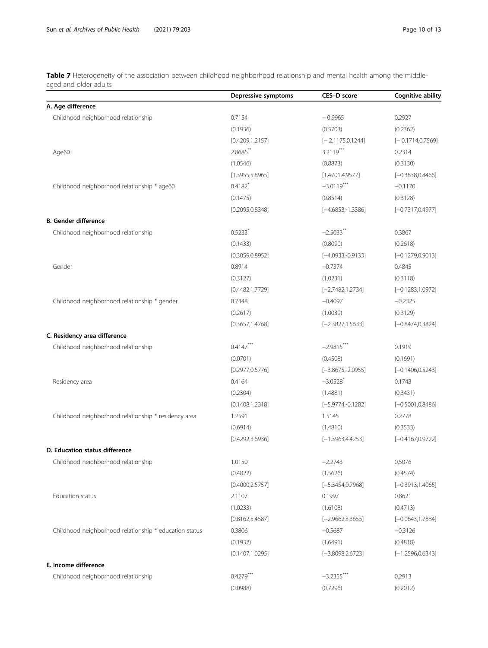<span id="page-9-0"></span>Table 7 Heterogeneity of the association between childhood neighborhood relationship and mental health among the middleaged and older adults

|                                                        | Depressive symptoms   | CES-D score         | Cognitive ability   |
|--------------------------------------------------------|-----------------------|---------------------|---------------------|
| A. Age difference                                      |                       |                     |                     |
| Childhood neighborhood relationship                    | 0.7154                | $-0.9965$           | 0.2927              |
|                                                        | (0.1936)              | (0.5703)            | (0.2362)            |
|                                                        | [0.4209, 1.2157]      | $[-2.1175, 0.1244]$ | $[-0.1714, 0.7569]$ |
| Age60                                                  | 2.8686**              | $3.2139***$         | 0.2314              |
|                                                        | (1.0546)              | (0.8873)            | (0.3130)            |
|                                                        | [1.3955, 5.8965]      | [1.4701, 4.9577]    | $[-0.3838, 0.8466]$ |
| Childhood neighborhood relationship * age60            | $0.4182$ <sup>*</sup> | $-3.0119***$        | $-0.1170$           |
|                                                        | (0.1475)              | (0.8514)            | (0.3128)            |
|                                                        | [0.2095, 0.8348]      | $[-4.6853,-1.3386]$ | $[-0.7317, 0.4977]$ |
| <b>B. Gender difference</b>                            |                       |                     |                     |
| Childhood neighborhood relationship                    | $0.5233$ <sup>*</sup> | $-2.5033$ **        | 0.3867              |
|                                                        | (0.1433)              | (0.8090)            | (0.2618)            |
|                                                        | [0.3059, 0.8952]      | $[-4.0933,-0.9133]$ | $[-0.1279, 0.9013]$ |
| Gender                                                 | 0.8914                | $-0.7374$           | 0.4845              |
|                                                        | (0.3127)              | (1.0231)            | (0.3118)            |
|                                                        | [0.4482, 1.7729]      | $[-2.7482, 1.2734]$ | $[-0.1283, 1.0972]$ |
| Childhood neighborhood relationship * gender           | 0.7348                | $-0.4097$           | $-0.2325$           |
|                                                        | (0.2617)              | (1.0039)            | (0.3129)            |
|                                                        | [0.3657, 1.4768]      | $[-2.3827, 1.5633]$ | $[-0.8474, 0.3824]$ |
| C. Residency area difference                           |                       |                     |                     |
| Childhood neighborhood relationship                    | $0.4147***$           | $-2.9815***$        | 0.1919              |
|                                                        | (0.0701)              | (0.4508)            | (0.1691)            |
|                                                        | [0.2977, 0.5776]      | $[-3.8675,-2.0955]$ | $[-0.1406, 0.5243]$ |
| Residency area                                         | 0.4164                | $-3.0528$ *         | 0.1743              |
|                                                        | (0.2304)              | (1.4881)            | (0.3431)            |
|                                                        | [0.1408, 1.2318]      | $[-5.9774,-0.1282]$ | $[-0.5001, 0.8486]$ |
| Childhood neighborhood relationship * residency area   | 1.2591                | 1.5145              | 0.2778              |
|                                                        | (0.6914)              | (1.4810)            | (0.3533)            |
|                                                        | [0.4292, 3.6936]      | $[-1.3963, 4.4253]$ | $[-0.4167, 0.9722]$ |
| D. Education status difference                         |                       |                     |                     |
| Childhood neighborhood relationship                    | 1.0150                | $-2.2743$           | 0.5076              |
|                                                        | (0.4822)              | (1.5626)            | (0.4574)            |
|                                                        | [0.4000, 2.5757]      | $[-5.3454, 0.7968]$ | $[-0.3913, 1.4065]$ |
| Education status                                       | 2.1107                | 0.1997              | 0.8621              |
|                                                        | (1.0233)              | (1.6108)            | (0.4713)            |
|                                                        | [0.8162, 5.4587]      | $[-2.9662, 3.3655]$ | $[-0.0643, 1.7884]$ |
| Childhood neighborhood relationship * education status | 0.3806                | $-0.5687$           | $-0.3126$           |
|                                                        | (0.1932)              | (1.6491)            | (0.4818)            |
|                                                        | [0.1407, 1.0295]      | $[-3.8098, 2.6723]$ | $[-1.2596, 0.6343]$ |
| E. Income difference                                   |                       |                     |                     |
| Childhood neighborhood relationship                    | $0.4279***$           | $-3.2355***$        | 0.2913              |
|                                                        | (0.0988)              | (0.7296)            | (0.2012)            |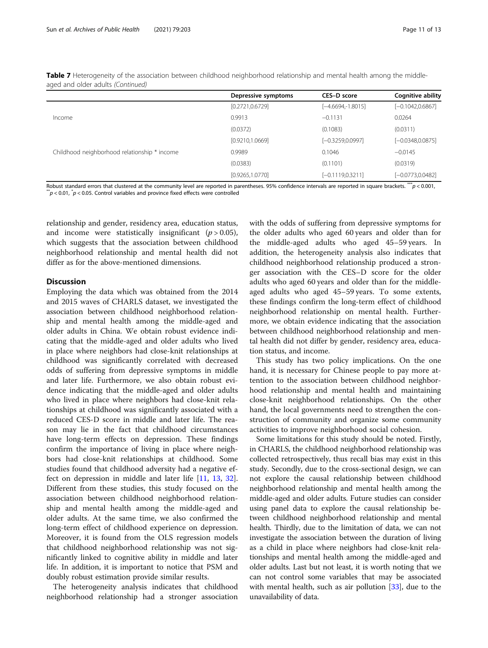|                                              | Depressive symptoms | CES-D score         | <b>Cognitive ability</b> |
|----------------------------------------------|---------------------|---------------------|--------------------------|
|                                              | [0.2721, 0.6729]    | $[-4.6694,-1.8015]$ | $[-0.1042, 0.6867]$      |
| Income                                       | 0.9913              | $-0.1131$           | 0.0264                   |
|                                              | (0.0372)            | (0.1083)            | (0.0311)                 |
|                                              | [0.9210, 1.0669]    | $[-0.3259, 0.0997]$ | $[-0.0348, 0.0875]$      |
| Childhood neighborhood relationship * income | 0.9989              | 0.1046              | $-0.0145$                |
|                                              | (0.0383)            | (0.1101)            | (0.0319)                 |
|                                              | [0.9265, 1.0770]    | $[-0.1119, 0.3211]$ | $[-0.0773, 0.0482]$      |

Table 7 Heterogeneity of the association between childhood neighborhood relationship and mental health among the middleaged and older adults (Continued)

Robust standard errors that clustered at the community level are reported in parentheses. 95% confidence intervals are reported in square brackets. \*\*\*  $p < 0.001$ ,  $\bar{p}$  < 0.01,  $\bar{p}$  < 0.05. Control variables and province fixed effects were controlled

relationship and gender, residency area, education status, and income were statistically insignificant  $(p > 0.05)$ , which suggests that the association between childhood neighborhood relationship and mental health did not differ as for the above-mentioned dimensions.

## **Discussion**

Employing the data which was obtained from the 2014 and 2015 waves of CHARLS dataset, we investigated the association between childhood neighborhood relationship and mental health among the middle-aged and older adults in China. We obtain robust evidence indicating that the middle-aged and older adults who lived in place where neighbors had close-knit relationships at childhood was significantly correlated with decreased odds of suffering from depressive symptoms in middle and later life. Furthermore, we also obtain robust evidence indicating that the middle-aged and older adults who lived in place where neighbors had close-knit relationships at childhood was significantly associated with a reduced CES-D score in middle and later life. The reason may lie in the fact that childhood circumstances have long-term effects on depression. These findings confirm the importance of living in place where neighbors had close-knit relationships at childhood. Some studies found that childhood adversity had a negative effect on depression in middle and later life [\[11](#page-12-0), [13](#page-12-0), [32](#page-12-0)]. Different from these studies, this study focused on the association between childhood neighborhood relationship and mental health among the middle-aged and older adults. At the same time, we also confirmed the long-term effect of childhood experience on depression. Moreover, it is found from the OLS regression models that childhood neighborhood relationship was not significantly linked to cognitive ability in middle and later life. In addition, it is important to notice that PSM and doubly robust estimation provide similar results.

The heterogeneity analysis indicates that childhood neighborhood relationship had a stronger association with the odds of suffering from depressive symptoms for the older adults who aged 60 years and older than for the middle-aged adults who aged 45–59 years. In addition, the heterogeneity analysis also indicates that childhood neighborhood relationship produced a stronger association with the CES–D score for the older adults who aged 60 years and older than for the middleaged adults who aged 45–59 years. To some extents, these findings confirm the long-term effect of childhood neighborhood relationship on mental health. Furthermore, we obtain evidence indicating that the association between childhood neighborhood relationship and mental health did not differ by gender, residency area, education status, and income.

This study has two policy implications. On the one hand, it is necessary for Chinese people to pay more attention to the association between childhood neighborhood relationship and mental health and maintaining close-knit neighborhood relationships. On the other hand, the local governments need to strengthen the construction of community and organize some community activities to improve neighborhood social cohesion.

Some limitations for this study should be noted. Firstly, in CHARLS, the childhood neighborhood relationship was collected retrospectively, thus recall bias may exist in this study. Secondly, due to the cross-sectional design, we can not explore the causal relationship between childhood neighborhood relationship and mental health among the middle-aged and older adults. Future studies can consider using panel data to explore the causal relationship between childhood neighborhood relationship and mental health. Thirdly, due to the limitation of data, we can not investigate the association between the duration of living as a child in place where neighbors had close-knit relationships and mental health among the middle-aged and older adults. Last but not least, it is worth noting that we can not control some variables that may be associated with mental health, such as air pollution  $[33]$  $[33]$  $[33]$ , due to the unavailability of data.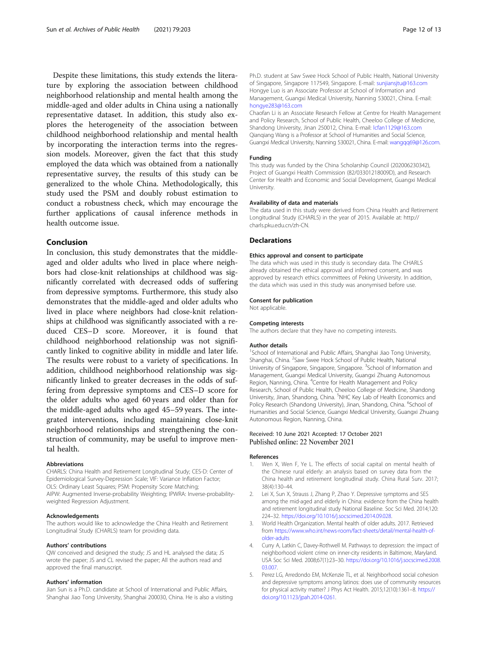<span id="page-11-0"></span>Despite these limitations, this study extends the literature by exploring the association between childhood neighborhood relationship and mental health among the middle-aged and older adults in China using a nationally representative dataset. In addition, this study also explores the heterogeneity of the association between childhood neighborhood relationship and mental health by incorporating the interaction terms into the regression models. Moreover, given the fact that this study employed the data which was obtained from a nationally representative survey, the results of this study can be generalized to the whole China. Methodologically, this study used the PSM and doubly robust estimation to conduct a robustness check, which may encourage the further applications of causal inference methods in health outcome issue.

## Conclusion

In conclusion, this study demonstrates that the middleaged and older adults who lived in place where neighbors had close-knit relationships at childhood was significantly correlated with decreased odds of suffering from depressive symptoms. Furthermore, this study also demonstrates that the middle-aged and older adults who lived in place where neighbors had close-knit relationships at childhood was significantly associated with a reduced CES–D score. Moreover, it is found that childhood neighborhood relationship was not significantly linked to cognitive ability in middle and later life. The results were robust to a variety of specifications. In addition, childhood neighborhood relationship was significantly linked to greater decreases in the odds of suffering from depressive symptoms and CES–D score for the older adults who aged 60 years and older than for the middle-aged adults who aged 45–59 years. The integrated interventions, including maintaining close-knit neighborhood relationships and strengthening the construction of community, may be useful to improve mental health.

#### Abbreviations

CHARLS: China Health and Retirement Longitudinal Study; CES-D: Center of Epidemiological Survey-Depression Scale; VIF: Variance Inflation Factor; OLS: Ordinary Least Squares; PSM: Propensity Score Matching; AIPW: Augmented Inverse-probability Weighting; IPWRA: Inverse-probabilityweighted Regression Adjustment.

#### Acknowledgements

The authors would like to acknowledge the China Health and Retirement Longitudinal Study (CHARLS) team for providing data.

#### Authors' contributions

QW conceived and designed the study; JS and HL analysed the data; JS wrote the paper; JS and CL revised the paper; All the authors read and approved the final manuscript.

#### Authors' information

Jian Sun is a Ph.D. candidate at School of International and Public Affairs, Shanghai Jiao Tong University, Shanghai 200030, China. He is also a visiting Ph.D. student at Saw Swee Hock School of Public Health, National University of Singapore, Singapore 117549, Singapore. E-mail: [sunjiansjtu@163.com](mailto:sunjiansjtu@163.com) Hongye Luo is an Associate Professor at School of Information and Management, Guangxi Medical University, Nanning 530021, China. E-mail: [hongye283@163.com](mailto:hongye283@163.com)

Chaofan Li is an Associate Research Fellow at Centre for Health Management and Policy Research, School of Public Health, Cheeloo College of Medicine, Shandong University, Jinan 250012, China. E-mail: Icfan1129@163.com Qianqiang Wang is a Professor at School of Humanities and Social Science, Guangxi Medical University, Nanning 530021, China. E-mail: [wangqq69@126.com](mailto:wangqq69@126.com).

#### Funding

This study was funded by the China Scholarship Council (202006230342), Project of Guangxi Health Commission (82/03301218009D), and Research Center for Health and Economic and Social Development, Guangxi Medical University.

#### Availability of data and materials

The data used in this study were derived from China Health and Retirement Longitudinal Study (CHARLS) in the year of 2015. Available at: http:// charls.pku.edu.cn/zh-CN.

#### Declarations

#### Ethics approval and consent to participate

The data which was used in this study is secondary data. The CHARLS already obtained the ethical approval and informed consent, and was approved by research ethics committees of Peking University. In addition, the data which was used in this study was anonymised before use.

#### Consent for publication

Not applicable.

## Competing interests

The authors declare that they have no competing interests.

#### Author details

<sup>1</sup>School of International and Public Affairs, Shanghai Jiao Tong University Shanghai, China. <sup>2</sup> Saw Swee Hock School of Public Health, National University of Singapore, Singapore, Singapore. <sup>3</sup>School of Information and Management, Guangxi Medical University, Guangxi Zhuang Autonomous Region, Nanning, China. <sup>4</sup>Centre for Health Management and Policy Research, School of Public Health, Cheeloo College of Medicine, Shandong University, Jinan, Shandong, China. <sup>5</sup>NHC Key Lab of Health Economics and Policy Research (Shandong University), Jinan, Shandong, China. <sup>6</sup>School of Humanities and Social Science, Guangxi Medical University, Guangxi Zhuang Autonomous Region, Nanning, China.

#### Received: 10 June 2021 Accepted: 17 October 2021 Published online: 22 November 2021

#### References

- Wen X, Wen F, Ye L. The effects of social capital on mental health of the Chinese rural elderly: an analysis based on survey data from the China health and retirement longitudinal study. China Rural Surv. 2017; 38(4):130–44.
- 2. Lei X, Sun X, Strauss J, Zhang P, Zhao Y. Depressive symptoms and SES among the mid-aged and elderly in China: evidence from the China health and retirement longitudinal study National Baseline. Soc Sci Med. 2014;120: 224–32. [https://doi.org/10.1016/j.socscimed.2014.09.028.](https://doi.org/10.1016/j.socscimed.2014.09.028)
- 3. World Health Organization. Mental health of older adults. 2017. Retrieved from [https://www.who.int/news-room/fact-sheets/detail/mental-health-of](https://www.who.int/news-room/fact-sheets/detail/mental-health-of-older-adults)[older-adults](https://www.who.int/news-room/fact-sheets/detail/mental-health-of-older-adults)
- 4. Curry A, Latkin C, Davey-Rothwell M. Pathways to depression: the impact of neighborhood violent crime on inner-city residents in Baltimore, Maryland. USA Soc Sci Med. 2008;67(1):23–30. [https://doi.org/10.1016/j.socscimed.2008.](https://doi.org/10.1016/j.socscimed.2008.03.007) [03.007](https://doi.org/10.1016/j.socscimed.2008.03.007).
- 5. Perez LG, Arredondo EM, McKenzie TL, et al. Neighborhood social cohesion and depressive symptoms among latinos: does use of community resources for physical activity matter? J Phys Act Health. 2015;12(10):1361–8. [https://](https://doi.org/10.1123/jpah.2014-0261) [doi.org/10.1123/jpah.2014-0261](https://doi.org/10.1123/jpah.2014-0261).